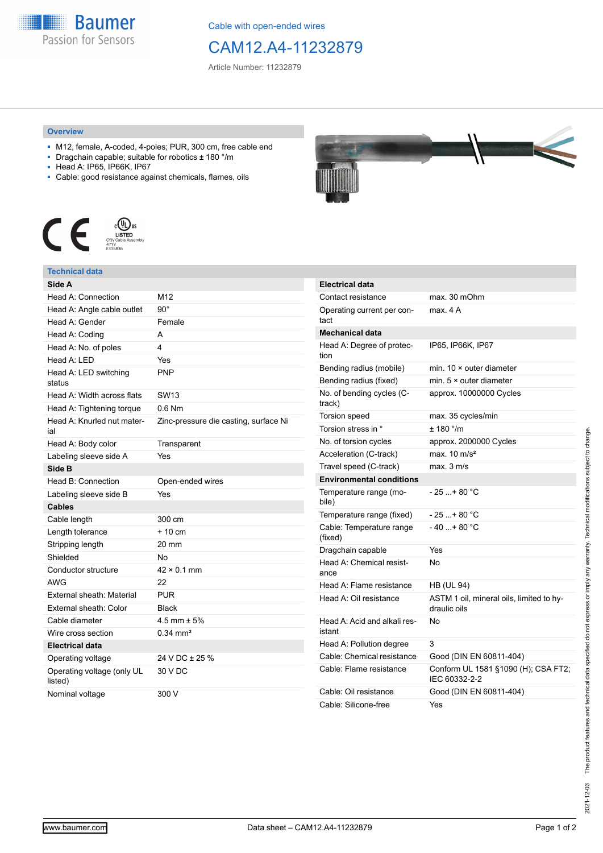

Cable with open-ended wires

# CAM12.A4-11232879

Article Number: 11232879

### **Overview**

- M12, female, A-coded, 4-poles; PUR, 300 cm, free cable end
- Dragchain capable; suitable for robotics ± 180 °/m
- Head A: IP65, IP66K, IP67
- Cable: good resistance against chemicals, flames, oils



## **Technical data**

| Side A                                |                                       |
|---------------------------------------|---------------------------------------|
| Head A: Connection                    | M <sub>12</sub>                       |
| Head A: Angle cable outlet            | $90^{\circ}$                          |
| Head A: Gender                        | Female                                |
| Head A: Coding                        | A                                     |
| Head A: No. of poles                  | 4                                     |
| Head A: LED                           | Yes                                   |
| Head A: LED switching<br>status       | PNP                                   |
| Head A: Width across flats            | <b>SW13</b>                           |
| Head A: Tightening torque             | $0.6$ Nm                              |
| Head A: Knurled nut mater-<br>ial     | Zinc-pressure die casting, surface Ni |
| Head A: Body color                    | Transparent                           |
| Labeling sleeve side A                | Yes                                   |
| Side B                                |                                       |
| Head B: Connection                    | Open-ended wires                      |
| Labeling sleeve side B                | Yes                                   |
| <b>Cables</b>                         |                                       |
| Cable length                          | 300 cm                                |
| Length tolerance                      | $+10 \text{ cm}$                      |
| Stripping length                      | 20 mm                                 |
| Shielded                              | No                                    |
| Conductor structure                   | $42 \times 0.1$ mm                    |
| <b>AWG</b>                            | 22                                    |
| External sheath: Material             | <b>PUR</b>                            |
| External sheath: Color                | <b>Black</b>                          |
| Cable diameter                        | 4.5 mm $\pm$ 5%                       |
| Wire cross section                    | $0.34$ mm <sup>2</sup>                |
| <b>Electrical data</b>                |                                       |
| Operating voltage                     | 24 V DC ± 25 %                        |
| Operating voltage (only UL<br>listed) | 30 V DC                               |
| Nominal voltage                       | 300 V                                 |



| <b>Electrical data</b>                 |                                                          |
|----------------------------------------|----------------------------------------------------------|
| Contact resistance                     | max. 30 mOhm                                             |
| Operating current per con-<br>tact     | max. 4 A                                                 |
| <b>Mechanical data</b>                 |                                                          |
| Head A: Degree of protec-<br>tion      | IP65, IP66K, IP67                                        |
| Bending radius (mobile)                | min. $10 \times$ outer diameter                          |
| Bending radius (fixed)                 | min. $5 \times$ outer diameter                           |
| No. of bending cycles (C-<br>track)    | approx. 10000000 Cycles                                  |
| <b>Torsion speed</b>                   | max. 35 cycles/min                                       |
| Torsion stress in °                    | ± 180 °/m                                                |
| No. of torsion cycles                  | approx. 2000000 Cycles                                   |
| Acceleration (C-track)                 | max. $10 \text{ m/s}^2$                                  |
| Travel speed (C-track)                 | max. 3 m/s                                               |
| <b>Environmental conditions</b>        |                                                          |
| Temperature range (mo-<br>bile)        | $-25 + 80 °C$                                            |
| Temperature range (fixed)              | - 25 + 80 °C                                             |
| Cable: Temperature range<br>(fixed)    | $-40+80 °C$                                              |
| Dragchain capable                      | Yes                                                      |
| Head A: Chemical resist-<br>ance       | No                                                       |
| Head A: Flame resistance               | <b>HB (UL 94)</b>                                        |
| Head A: Oil resistance                 | ASTM 1 oil, mineral oils, limited to hy-<br>draulic oils |
| Head A: Acid and alkali res-<br>istant | No                                                       |
| Head A: Pollution degree               | 3                                                        |
| Cable: Chemical resistance             | Good (DIN EN 60811-404)                                  |
| Cable: Flame resistance                | Conform UL 1581 §1090 (H); CSA FT2;<br>IEC 60332-2-2     |
| Cable: Oil resistance                  | Good (DIN EN 60811-404)                                  |
| Cable: Silicone-free                   | Yes                                                      |